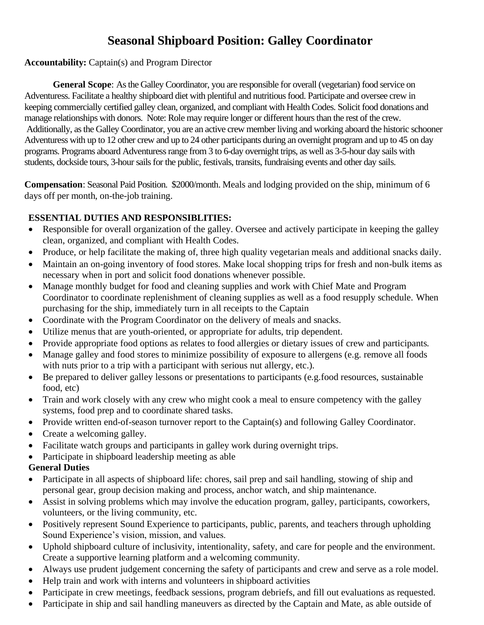# **Seasonal Shipboard Position: Galley Coordinator**

#### **Accountability:** Captain(s) and Program Director

**General Scope**: As the Galley Coordinator, you are responsible for overall (vegetarian) food service on Adventuress. Facilitate a healthy shipboard diet with plentiful and nutritious food. Participate and oversee crew in keeping commercially certified galley clean, organized, and compliant with Health Codes. Solicit food donations and manage relationships with donors. Note: Role may require longer or different hours than the rest of the crew. Additionally, as the Galley Coordinator, you are an active crew member living and working aboard the historic schooner Adventuress with up to 12 other crew and up to 24 other participants during an overnight program and up to 45 on day programs. Programs aboard Adventuress range from 3 to 6-day overnight trips, as well as 3-5-hour day sails with students, dockside tours, 3-hour sails for the public, festivals, transits, fundraising events and other day sails.

**Compensation**: Seasonal Paid Position. \$2000/month. Meals and lodging provided on the ship, minimum of 6 days off per month, on-the-job training.

#### **ESSENTIAL DUTIES AND RESPONSIBLITIES:**

- Responsible for overall organization of the galley. Oversee and actively participate in keeping the galley clean, organized, and compliant with Health Codes.
- Produce, or help facilitate the making of, three high quality vegetarian meals and additional snacks daily.
- Maintain an on-going inventory of food stores. Make local shopping trips for fresh and non-bulk items as necessary when in port and solicit food donations whenever possible.
- Manage monthly budget for food and cleaning supplies and work with Chief Mate and Program Coordinator to coordinate replenishment of cleaning supplies as well as a food resupply schedule. When purchasing for the ship, immediately turn in all receipts to the Captain
- Coordinate with the Program Coordinator on the delivery of meals and snacks.
- Utilize menus that are youth-oriented, or appropriate for adults, trip dependent.
- Provide appropriate food options as relates to food allergies or dietary issues of crew and participants.
- Manage galley and food stores to minimize possibility of exposure to allergens (e.g. remove all foods with nuts prior to a trip with a participant with serious nut allergy, etc.).
- Be prepared to deliver galley lessons or presentations to participants (e.g.food resources, sustainable food, etc)
- Train and work closely with any crew who might cook a meal to ensure competency with the galley systems, food prep and to coordinate shared tasks.
- Provide written end-of-season turnover report to the Captain(s) and following Galley Coordinator.
- Create a welcoming galley.
- Facilitate watch groups and participants in galley work during overnight trips.
- Participate in shipboard leadership meeting as able

## **General Duties**

- Participate in all aspects of shipboard life: chores, sail prep and sail handling, stowing of ship and personal gear, group decision making and process, anchor watch, and ship maintenance.
- Assist in solving problems which may involve the education program, galley, participants, coworkers, volunteers, or the living community, etc.
- Positively represent Sound Experience to participants, public, parents, and teachers through upholding Sound Experience's vision, mission, and values.
- Uphold shipboard culture of inclusivity, intentionality, safety, and care for people and the environment. Create a supportive learning platform and a welcoming community.
- Always use prudent judgement concerning the safety of participants and crew and serve as a role model.
- Help train and work with interns and volunteers in shipboard activities
- Participate in crew meetings, feedback sessions, program debriefs, and fill out evaluations as requested.
- Participate in ship and sail handling maneuvers as directed by the Captain and Mate, as able outside of